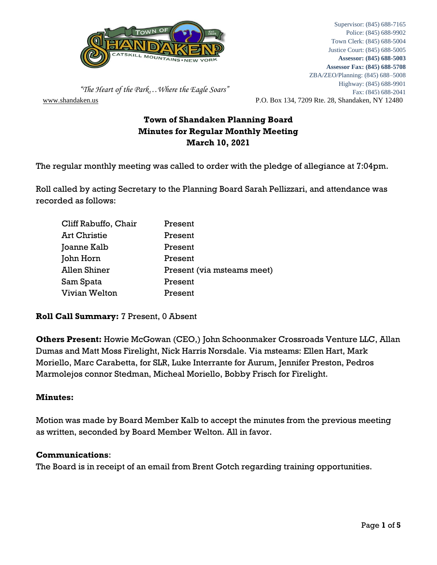

[www.shandaken.us](http://www.shandaken.us/) P.O. Box 134, 7209 Rte. 28, Shandaken, NY 12480 Supervisor: (845) 688-7165 Police: (845) 688-9902 Town Clerk: (845) 688-5004 Justice Court: (845) 688-5005 **Assessor: (845) 688-5003 Assessor Fax: (845) 688-5708** ZBA/ZEO/Planning: (845) 688–5008 Highway: (845) 688-9901 Fax: (845) 688-2041

 *"The Heart of the Park…Where the Eagle Soars"*

# **Town of Shandaken Planning Board Minutes for Regular Monthly Meeting March 10, 2021**

The regular monthly meeting was called to order with the pledge of allegiance at 7:04pm.

Roll called by acting Secretary to the Planning Board Sarah Pellizzari, and attendance was recorded as follows:

| Cliff Rabuffo, Chair | Present                    |
|----------------------|----------------------------|
| <b>Art Christie</b>  | Present                    |
| Joanne Kalb          | Present                    |
| John Horn            | Present                    |
| <b>Allen Shiner</b>  | Present (via msteams meet) |
| Sam Spata            | Present                    |
| Vivian Welton        | Present                    |

**Roll Call Summary:** 7 Present, 0 Absent

**Others Present:** Howie McGowan (CEO,) John Schoonmaker Crossroads Venture LLC, Allan Dumas and Matt Moss Firelight, Nick Harris Norsdale. Via msteams: Ellen Hart, Mark Moriello, Marc Carabetta, for SLR, Luke Interrante for Aurum, Jennifer Preston, Pedros Marmolejos connor Stedman, Micheal Moriello, Bobby Frisch for Firelight.

## **Minutes:**

Motion was made by Board Member Kalb to accept the minutes from the previous meeting as written, seconded by Board Member Welton. All in favor.

## **Communications**:

The Board is in receipt of an email from Brent Gotch regarding training opportunities.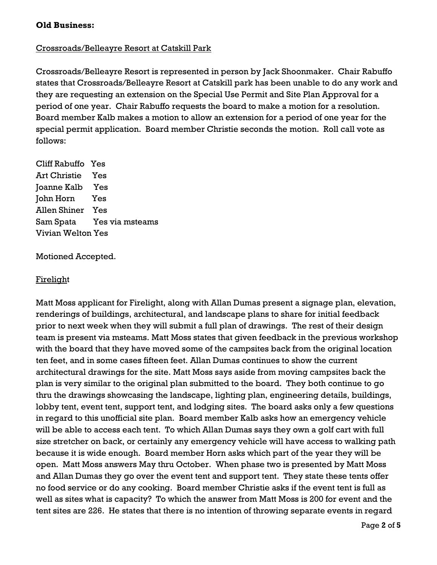### **Old Business:**

### Crossroads/Belleayre Resort at Catskill Park

Crossroads/Belleayre Resort is represented in person by Jack Shoonmaker. Chair Rabuffo states that Crossroads/Belleayre Resort at Catskill park has been unable to do any work and they are requesting an extension on the Special Use Permit and Site Plan Approval for a period of one year. Chair Rabuffo requests the board to make a motion for a resolution. Board member Kalb makes a motion to allow an extension for a period of one year for the special permit application. Board member Christie seconds the motion. Roll call vote as follows:

Cliff Rabuffo Yes Art Christie Yes Joanne Kalb Yes John Horn Yes Allen Shiner Yes Sam Spata Yes via msteams Vivian Welton Yes

Motioned Accepted.

#### Firelight

Matt Moss applicant for Firelight, along with Allan Dumas present a signage plan, elevation, renderings of buildings, architectural, and landscape plans to share for initial feedback prior to next week when they will submit a full plan of drawings. The rest of their design team is present via msteams. Matt Moss states that given feedback in the previous workshop with the board that they have moved some of the campsites back from the original location ten feet, and in some cases fifteen feet. Allan Dumas continues to show the current architectural drawings for the site. Matt Moss says aside from moving campsites back the plan is very similar to the original plan submitted to the board. They both continue to go thru the drawings showcasing the landscape, lighting plan, engineering details, buildings, lobby tent, event tent, support tent, and lodging sites. The board asks only a few questions in regard to this unofficial site plan. Board member Kalb asks how an emergency vehicle will be able to access each tent. To which Allan Dumas says they own a golf cart with full size stretcher on back, or certainly any emergency vehicle will have access to walking path because it is wide enough. Board member Horn asks which part of the year they will be open. Matt Moss answers May thru October. When phase two is presented by Matt Moss and Allan Dumas they go over the event tent and support tent. They state these tents offer no food service or do any cooking. Board member Christie asks if the event tent is full as well as sites what is capacity? To which the answer from Matt Moss is 200 for event and the tent sites are 226. He states that there is no intention of throwing separate events in regard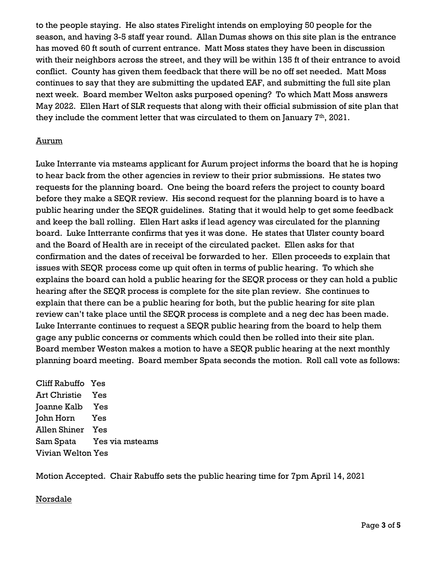to the people staying. He also states Firelight intends on employing 50 people for the season, and having 3-5 staff year round. Allan Dumas shows on this site plan is the entrance has moved 60 ft south of current entrance. Matt Moss states they have been in discussion with their neighbors across the street, and they will be within 135 ft of their entrance to avoid conflict. County has given them feedback that there will be no off set needed. Matt Moss continues to say that they are submitting the updated EAF, and submitting the full site plan next week. Board member Welton asks purposed opening? To which Matt Moss answers May 2022. Ellen Hart of SLR requests that along with their official submission of site plan that they include the comment letter that was circulated to them on January  $T<sup>th</sup>$ , 2021.

## Aurum

Luke Interrante via msteams applicant for Aurum project informs the board that he is hoping to hear back from the other agencies in review to their prior submissions. He states two requests for the planning board. One being the board refers the project to county board before they make a SEQR review. His second request for the planning board is to have a public hearing under the SEQR guidelines. Stating that it would help to get some feedback and keep the ball rolling. Ellen Hart asks if lead agency was circulated for the planning board. Luke Intterrante confirms that yes it was done. He states that Ulster county board and the Board of Health are in receipt of the circulated packet. Ellen asks for that confirmation and the dates of receival be forwarded to her. Ellen proceeds to explain that issues with SEQR process come up quit often in terms of public hearing. To which she explains the board can hold a public hearing for the SEQR process or they can hold a public hearing after the SEQR process is complete for the site plan review. She continues to explain that there can be a public hearing for both, but the public hearing for site plan review can't take place until the SEQR process is complete and a neg dec has been made. Luke Interrante continues to request a SEQR public hearing from the board to help them gage any public concerns or comments which could then be rolled into their site plan. Board member Weston makes a motion to have a SEQR public hearing at the next monthly planning board meeting. Board member Spata seconds the motion. Roll call vote as follows:

Cliff Rabuffo Yes Art Christie Yes Joanne Kalb Yes John Horn Yes Allen Shiner Yes Sam Spata Yes via msteams Vivian Welton Yes

Motion Accepted. Chair Rabuffo sets the public hearing time for 7pm April 14, 2021

## Norsdale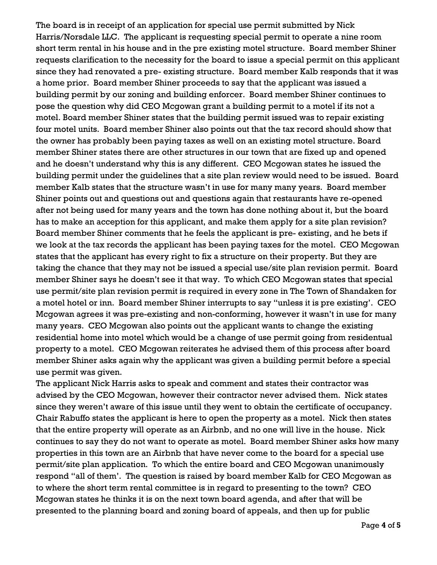The board is in receipt of an application for special use permit submitted by Nick Harris/Norsdale LLC. The applicant is requesting special permit to operate a nine room short term rental in his house and in the pre existing motel structure. Board member Shiner requests clarification to the necessity for the board to issue a special permit on this applicant since they had renovated a pre- existing structure. Board member Kalb responds that it was a home prior. Board member Shiner proceeds to say that the applicant was issued a building permit by our zoning and building enforcer. Board member Shiner continues to pose the question why did CEO Mcgowan grant a building permit to a motel if its not a motel. Board member Shiner states that the building permit issued was to repair existing four motel units. Board member Shiner also points out that the tax record should show that the owner has probably been paying taxes as well on an existing motel structure. Board member Shiner states there are other structures in our town that are fixed up and opened and he doesn't understand why this is any different. CEO Mcgowan states he issued the building permit under the guidelines that a site plan review would need to be issued. Board member Kalb states that the structure wasn't in use for many many years. Board member Shiner points out and questions out and questions again that restaurants have re-opened after not being used for many years and the town has done nothing about it, but the board has to make an acception for this applicant, and make them apply for a site plan revision? Board member Shiner comments that he feels the applicant is pre- existing, and he bets if we look at the tax records the applicant has been paying taxes for the motel. CEO Mcgowan states that the applicant has every right to fix a structure on their property. But they are taking the chance that they may not be issued a special use/site plan revision permit. Board member Shiner says he doesn't see it that way. To which CEO Mcgowan states that special use permit/site plan revision permit is required in every zone in The Town of Shandaken for a motel hotel or inn. Board member Shiner interrupts to say "unless it is pre existing'. CEO Mcgowan agrees it was pre-existing and non-conforming, however it wasn't in use for many many years. CEO Mcgowan also points out the applicant wants to change the existing residential home into motel which would be a change of use permit going from residentual property to a motel. CEO Mcgowan reiterates he advised them of this process after board member Shiner asks again why the applicant was given a building permit before a special use permit was given.

The applicant Nick Harris asks to speak and comment and states their contractor was advised by the CEO Mcgowan, however their contractor never advised them. Nick states since they weren't aware of this issue until they went to obtain the certificate of occupancy. Chair Rabuffo states the applicant is here to open the property as a motel. Nick then states that the entire property will operate as an Airbnb, and no one will live in the house. Nick continues to say they do not want to operate as motel. Board member Shiner asks how many properties in this town are an Airbnb that have never come to the board for a special use permit/site plan application. To which the entire board and CEO Mcgowan unanimously respond "all of them'. The question is raised by board member Kalb for CEO Mcgowan as to where the short term rental committee is in regard to presenting to the town? CEO Mcgowan states he thinks it is on the next town board agenda, and after that will be presented to the planning board and zoning board of appeals, and then up for public